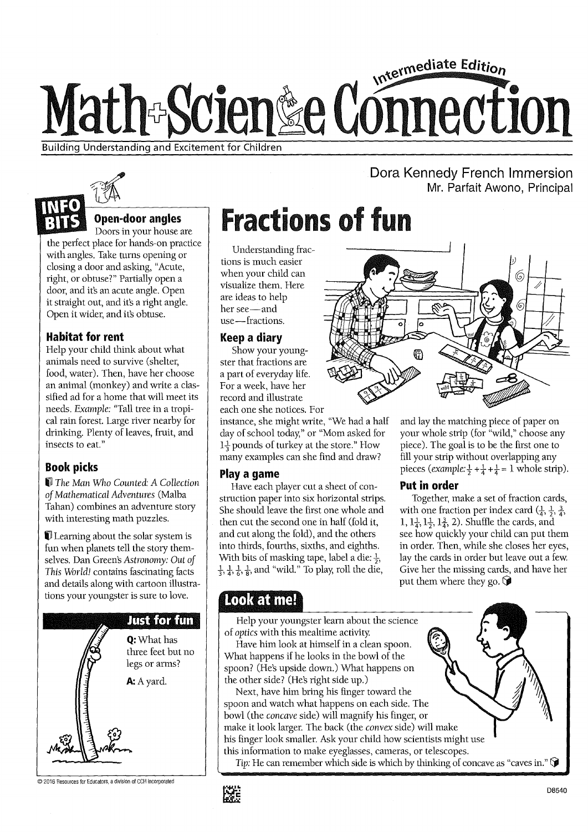# Math&CienLedConnect **ediate Edition**  •<br>•<br>•

Building Understanding and Excitement for Children



#### **Open-door angles**  Doors in your house are

the perfect place for hands-on practice with angles. Take turns opening or closing a door and asking, "Acute, right, or obtuse?" Partially open a door, and it's an acute angle. Open it straight out, and it's a right angle. Open it wider, and its obtuse.

#### **Habitat for rent**

Help your child think about what animals need to survive (shelter, food, water). Then, have her choose an animal (monkey) and write a classified ad for a home that will meet its needs. *Example:* "Tall tree in a tropical rain forest. Large river nearby for drinking. Plenty of leaves, fruit, and insects to eat."

#### **Book picks**

IV The Man *Who Counted: A Collection of* Mathematical Adventures (Malba Tahan) combines an adventure story with interesting math puzzles.

**U** Learning about the solar system is fun when planets tell the story themselves. Dan Green's Astronomy: *Out of*  This World! contains fascinating facts and details along with cartoon illustrations your youngster is sure to love.



© 2016 Resources for Educators, a division of CCH Incorporated

# **Fractions of fun**

Understanding fractions is much easier when your child can visualize them. Here are ideas to help her see—and use—fractions.

#### **Keep a diary**

Show your youngster that fractions are a part of everyday life. For a week, have her record and illustrate each one she notices. For

instance, she might write, "We had a half day of school today," or "Mom asked for  $1\frac{1}{3}$  pounds of turkey at the store." How many examples can she find and draw?

#### **Play a game**

Have each player cut a sheet of construction paper into six horizontal strips. She should leave the first one whole and then cut the second one in half (fold it, and cut along the fold), and the others into thirds, fourths, sixths, and eighths. With bits of masking tape, label a die:  $\frac{1}{2}$ ,  $\frac{1}{3}, \frac{1}{4}, \frac{1}{6}, \frac{1}{8}$ , and "wild." To play, roll the die,

## **Look at me!**

Help your youngster learn about the science of optics with this mealtime activity.

Have him look at himself in a clean spoon. What happens if he looks in the bowl of the spoon? (He's upside down.) What happens on the other side? (He's right side up.)

Next, have him bring his finger toward the spoon and watch what happens on each side. The bowl (the *concave* side) will magnify his finger, or make it look larger. The back (the *convex* side) will make his finger look smaller. Ask your child how scientists might use this information to make eyeglasses, cameras, or telescopes.

Tip: He can remember which side is which by thinking of concave as "caves in." $\bigcirc$ 

Dora Kennedy French Immersion Mr. Parfait Awono, Principal



and lay the matching piece of paper on your whole strip (for "wild," choose any piece). The goal is to be the first one to fill your strip without overlapping any pieces (*example:*  $\frac{1}{2} + \frac{1}{4} + \frac{1}{4} = 1$  whole strip).

#### **Put in order**

 $\mathbb{G}$ 

Together, make a set of fraction cards, with one fraction per index card  $(\frac{1}{4}, \frac{1}{2}, \frac{3}{4}, \frac{1}{4})$ 1,  $1\frac{1}{4}$ ,  $1\frac{1}{2}$ ,  $1\frac{3}{4}$ , 2). Shuffle the cards, and see how quickly your child can put them in order. Then, while she closes her eyes, lay the cards in order but leave out a few. Give her the missing cards, and have her put them where they go.  $\circledast$